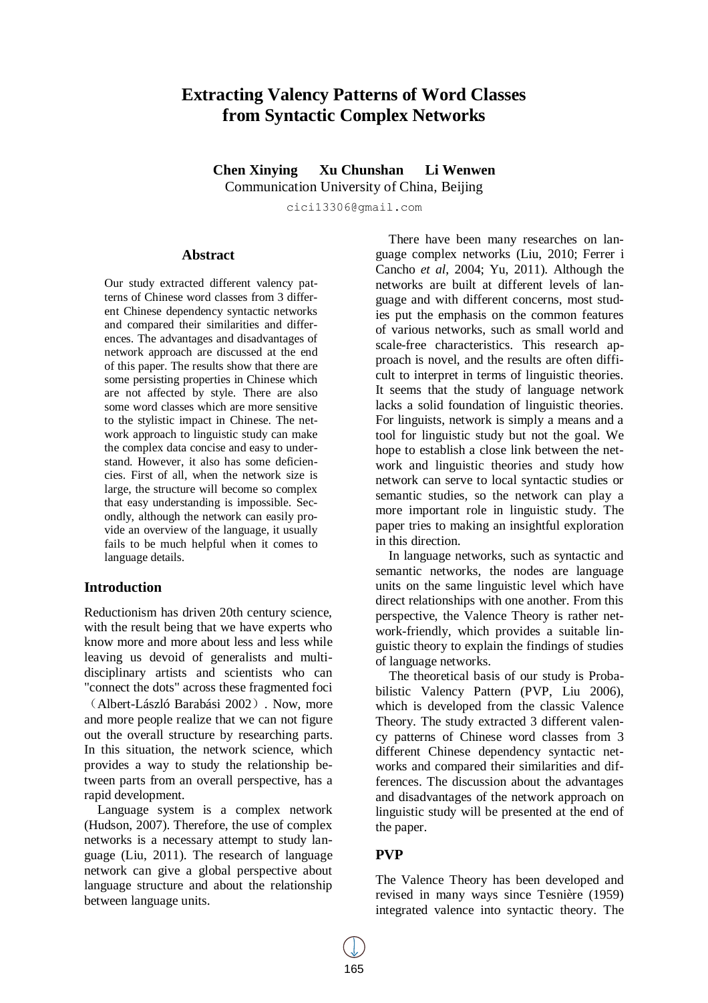# **Extracting Valency Patterns of Word Classes from Syntactic Complex Networks**

**Chen Xinying Xu Chunshan Li Wenwen**

Communication University of China, Beijing

cici13306@gmail.com

### **Abstract**

Our study extracted different valency patterns of Chinese word classes from 3 different Chinese dependency syntactic networks and compared their similarities and differences. The advantages and disadvantages of network approach are discussed at the end of this paper. The results show that there are some persisting properties in Chinese which are not affected by style. There are also some word classes which are more sensitive to the stylistic impact in Chinese. The network approach to linguistic study can make the complex data concise and easy to understand. However, it also has some deficiencies. First of all, when the network size is large, the structure will become so complex that easy understanding is impossible. Secondly, although the network can easily provide an overview of the language, it usually fails to be much helpful when it comes to language details.

### **Introduction**

Reductionism has driven 20th century science, with the result being that we have experts who know more and more about less and less while leaving us devoid of generalists and multidisciplinary artists and scientists who can "connect the dots" across these fragmented foci

(Albert-LászlóBarabási 2002). Now, more and more people realize that we can not figure out the overall structure by researching parts. In this situation, the network science, which provides a way to study the relationship between parts from an overall perspective, has a rapid development.

Language system is a complex network (Hudson, 2007). Therefore, the use of complex networks is a necessary attempt to study language (Liu, 2011). The research of language network can give a global perspective about language structure and about the relationship between language units.

There have been many researches on language complex networks (Liu, 2010; Ferrer i Cancho *et al*, 2004; Yu, 2011). Although the networks are built at different levels of language and with different concerns, most studies put the emphasis on the common features of various networks, such as small world and scale-free characteristics. This research approach is novel, and the results are often difficult to interpret in terms of linguistic theories. It seems that the study of language network lacks a solid foundation of linguistic theories. For linguists, network is simply a means and a tool for linguistic study but not the goal. We hope to establish a close link between the network and linguistic theories and study how network can serve to local syntactic studies or semantic studies, so the network can play a more important role in linguistic study. The paper tries to making an insightful exploration in this direction.

 In language networks, such as syntactic and semantic networks, the nodes are language units on the same linguistic level which have direct relationships with one another. From this perspective, the Valence Theory is rather network-friendly, which provides a suitable linguistic theory to explain the findings of studies of language networks.

The theoretical basis of our study is Probabilistic Valency Pattern (PVP, Liu 2006), which is developed from the classic Valence Theory. The study extracted 3 different valency patterns of Chinese word classes from 3 different Chinese dependency syntactic networks and compared their similarities and differences. The discussion about the advantages and disadvantages of the network approach on linguistic study will be presented at the end of the paper.

## **PVP**

The Valence Theory has been developed and revised in many ways since Tesnière (1959) integrated valence into syntactic theory. The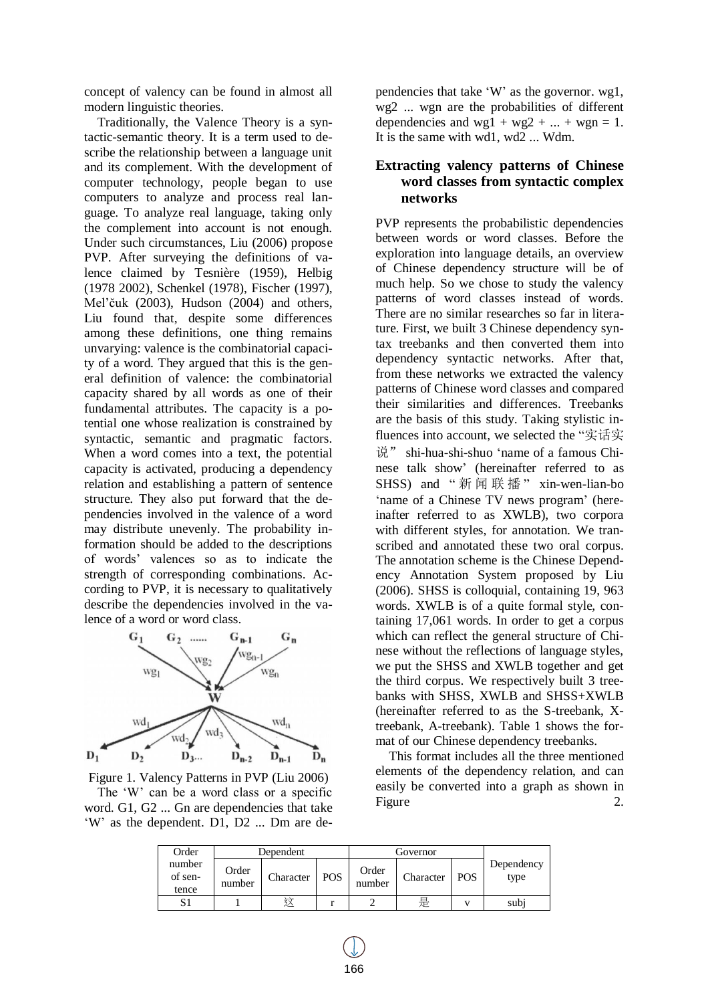concept of valency can be found in almost all modern linguistic theories.

Traditionally, the Valence Theory is a syntactic-semantic theory. It is a term used to describe the relationship between a language unit and its complement. With the development of computer technology, people began to use computers to analyze and process real language. To analyze real language, taking only the complement into account is not enough. Under such circumstances, Liu (2006) propose PVP. After surveying the definitions of valence claimed by Tesnière (1959), Helbig (1978 2002), Schenkel (1978), Fischer (1997), Mel"čuk (2003), Hudson (2004) and others, Liu found that, despite some differences among these definitions, one thing remains unvarying: valence is the combinatorial capacity of a word. They argued that this is the general definition of valence: the combinatorial capacity shared by all words as one of their fundamental attributes. The capacity is a potential one whose realization is constrained by syntactic, semantic and pragmatic factors. When a word comes into a text, the potential capacity is activated, producing a dependency relation and establishing a pattern of sentence structure. They also put forward that the dependencies involved in the valence of a word may distribute unevenly. The probability information should be added to the descriptions of words" valences so as to indicate the strength of corresponding combinations. According to PVP, it is necessary to qualitatively describe the dependencies involved in the valence of a word or word class.



Figure 1. Valency Patterns in PVP (Liu 2006) The "W" can be a word class or a specific word. G1, G2 ... Gn are dependencies that take "W" as the dependent. D1, D2 ... Dm are de-

pendencies that take "W" as the governor. wg1, wg2 ... wgn are the probabilities of different dependencies and  $wg1 + wg2 + ... + wgn = 1$ . It is the same with wd1, wd2 ... Wdm.

### **Extracting valency patterns of Chinese word classes from syntactic complex networks**

PVP represents the probabilistic dependencies between words or word classes. Before the exploration into language details, an overview of Chinese dependency structure will be of much help. So we chose to study the valency patterns of word classes instead of words. There are no similar researches so far in literature. First, we built 3 Chinese dependency syntax treebanks and then converted them into dependency syntactic networks. After that, from these networks we extracted the valency patterns of Chinese word classes and compared their similarities and differences. Treebanks are the basis of this study. Taking stylistic influences into account, we selected the "实话实 说" shi-hua-shi-shuo "name of a famous Chinese talk show" (hereinafter referred to as SHSS) and " 新 闻 联 播 " xin-wen-lian-bo 'name of a Chinese TV news program' (hereinafter referred to as XWLB), two corpora with different styles, for annotation. We transcribed and annotated these two oral corpus. The annotation scheme is the Chinese Dependency Annotation System proposed by Liu (2006). SHSS is colloquial, containing 19, 963 words. XWLB is of a quite formal style, containing 17,061 words. In order to get a corpus which can reflect the general structure of Chinese without the reflections of language styles, we put the SHSS and XWLB together and get the third corpus. We respectively built 3 treebanks with SHSS, XWLB and SHSS+XWLB (hereinafter referred to as the S-treebank, Xtreebank, A-treebank). Table 1 shows the format of our Chinese dependency treebanks.

This format includes all the three mentioned elements of the dependency relation, and can easily be converted into a graph as shown in Figure 2.

| Order                      |                 | Dependent |            |                 |           |            |                    |  |
|----------------------------|-----------------|-----------|------------|-----------------|-----------|------------|--------------------|--|
| number<br>of sen-<br>tence | Order<br>number | Character | <b>POS</b> | Order<br>number | Character | <b>POS</b> | Dependency<br>type |  |
|                            |                 |           |            |                 | 是         |            | subi               |  |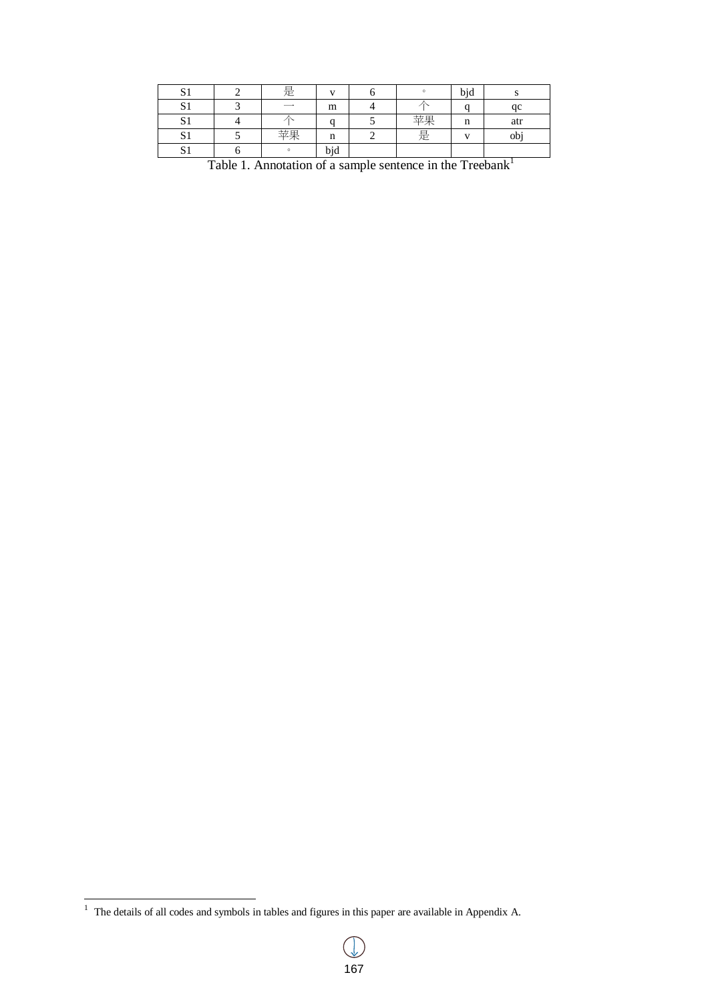| n<br>ມ      | 是                        | $\mathbf{v}$ | $\circ$ | bjd |             |
|-------------|--------------------------|--------------|---------|-----|-------------|
| $\sim$<br>ມ | $\overline{\phantom{a}}$ | m            |         |     | ac          |
| $\sim$<br>ມ |                          |              | 带甲      | n   | atr         |
| $\sim$<br>ມ | 苙里                       | n            | 是       | х.  | $^{\rm ob}$ |
| n<br>້      | $\Omega$                 | .<br>bjd     |         |     |             |

Table 1. Annotation of a sample sentence in the Treebank<sup>1</sup>

 1 The details of all codes and symbols in tables and figures in this paper are available in Appendix A.

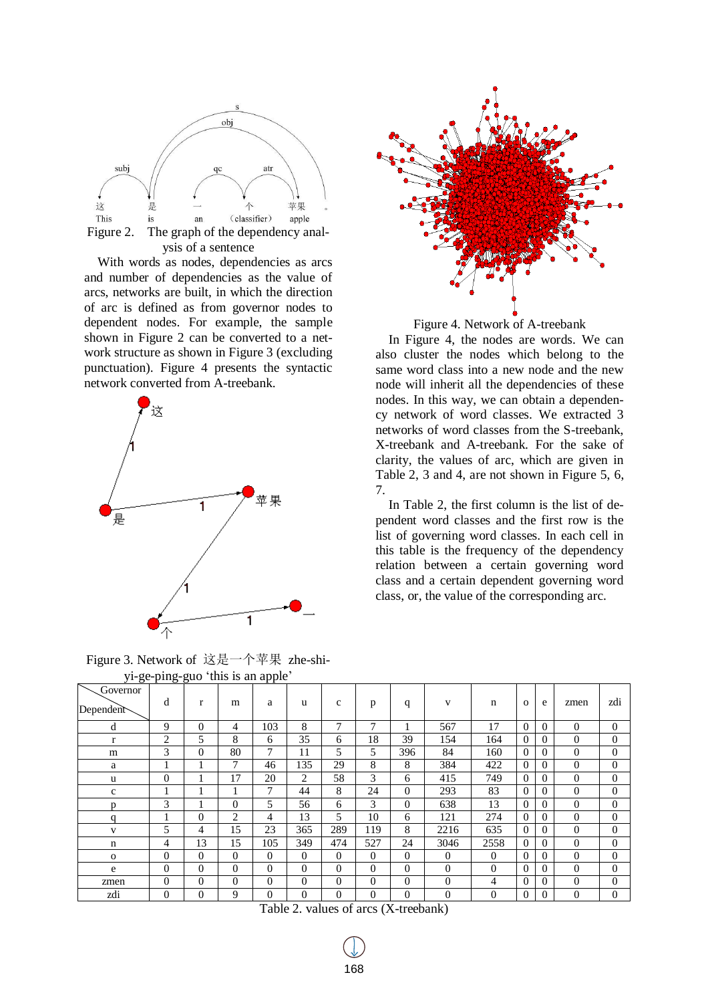

ysis of a sentence

With words as nodes, dependencies as arcs and number of dependencies as the value of arcs, networks are built, in which the direction of arc is defined as from governor nodes to dependent nodes. For example, the sample shown in Figure 2 can be converted to a network structure as shown in Figure 3 (excluding punctuation). Figure 4 presents the syntactic network converted from A-treebank.



Figure 3. Network of 这是一个苹果 zhe-shi $vi$ -ge-ping-guo 'this is an apple'



Figure 4. Network of A-treebank

 In Figure 4, the nodes are words. We can also cluster the nodes which belong to the same word class into a new node and the new node will inherit all the dependencies of these nodes. In this way, we can obtain a dependency network of word classes. We extracted 3 networks of word classes from the S-treebank, X-treebank and A-treebank. For the sake of clarity, the values of arc, which are given in Table 2, 3 and 4, are not shown in Figure 5, 6, 7.

 In Table 2, the first column is the list of dependent word classes and the first row is the list of governing word classes. In each cell in this table is the frequency of the dependency relation between a certain governing word class and a certain dependent governing word class, or, the value of the corresponding arc.

|                       |                |          | $\mu$ go ping gao and is an apple |                |          |                          |                |          |          |                |              |          |          |              |
|-----------------------|----------------|----------|-----------------------------------|----------------|----------|--------------------------|----------------|----------|----------|----------------|--------------|----------|----------|--------------|
| Governor<br>Dependent | d              | r        | m                                 | a              | u        | $\mathbf c$              | p              | q        | v        | $\mathbf n$    | $\mathbf{o}$ | e        | zmen     | zdi          |
| d                     | 9              | $\Omega$ | 4                                 | 103            | 8        | $\overline{7}$           | 7              |          | 567      | 17             | $\Omega$     | $\Omega$ | $\Omega$ | $\Omega$     |
| r                     | $\overline{c}$ | 5        | 8                                 | 6              | 35       | 6                        | 18             | 39       | 154      | 164            | $\Omega$     | $\Omega$ | $\Omega$ | $\Omega$     |
| m                     | 3              | $\Omega$ | 80                                | 7              | 11       | 5                        | 5              | 396      | 84       | 160            | $\Omega$     | $\Omega$ | $\Omega$ | $\Omega$     |
| a                     |                |          | 7                                 | 46             | 135      | 29                       | 8              | 8        | 384      | 422            | $\Omega$     | $\Omega$ | $\Omega$ | $\Omega$     |
| u                     | $\overline{0}$ |          | 17                                | 20             | 2        | 58                       | 3              | 6        | 415      | 749            | $\Omega$     | $\Omega$ | $\Omega$ | $\mathbf{0}$ |
| $\mathbf c$           |                |          |                                   | 7              | 44       | 8                        | 24             | $\Omega$ | 293      | 83             | $\Omega$     | $\Omega$ | $\Omega$ | $\Omega$     |
| n                     | 3              |          | $\Omega$                          | 5              | 56       | 6                        | 3              | $\Omega$ | 638      | 13             | $\Omega$     | $\theta$ | $\Omega$ | $\Omega$     |
| q                     |                | $\Omega$ | 2                                 | 4              | 13       | $\overline{\phantom{0}}$ | 10             | 6        | 121      | 274            | $\Omega$     | $\Omega$ | $\Omega$ | $\Omega$     |
| V                     | 5              | 4        | 15                                | 23             | 365      | 289                      | 119            | 8        | 2216     | 635            | $\Omega$     | $\Omega$ | $\Omega$ | $\Omega$     |
| $\mathbf n$           | 4              | 13       | 15                                | 105            | 349      | 474                      | 527            | 24       | 3046     | 2558           | $\Omega$     | $\Omega$ | $\Omega$ | $\Omega$     |
| $\mathbf 0$           | 0              | $\Omega$ | $\Omega$                          | $\overline{0}$ | $\Omega$ | $\Omega$                 | $\theta$       | $\Omega$ | $\theta$ | $\theta$       | $\Omega$     | $\Omega$ | $\theta$ | $\mathbf{0}$ |
| e                     | $\overline{0}$ | $\Omega$ | $\theta$                          | $\overline{0}$ | $\Omega$ | $\theta$                 | $\mathbf{0}$   | $\Omega$ | $\theta$ | $\overline{0}$ | $\Omega$     | $\Omega$ | $\theta$ | $\mathbf{0}$ |
| zmen                  | $\overline{0}$ | $\Omega$ | $\theta$                          | $\overline{0}$ | $\Omega$ | $\Omega$                 | $\overline{0}$ | $\Omega$ | $\theta$ | 4              | $\Omega$     | $\Omega$ | $\theta$ | $\Omega$     |
| zdi                   | 0              | $\Omega$ | 9                                 | $\theta$       | $\Omega$ | $\Omega$                 | $\Omega$       | $\Omega$ | $\Omega$ | $\theta$       | $\Omega$     | $\Omega$ | $\Omega$ | $\Omega$     |

Table 2. values of arcs (X-treebank)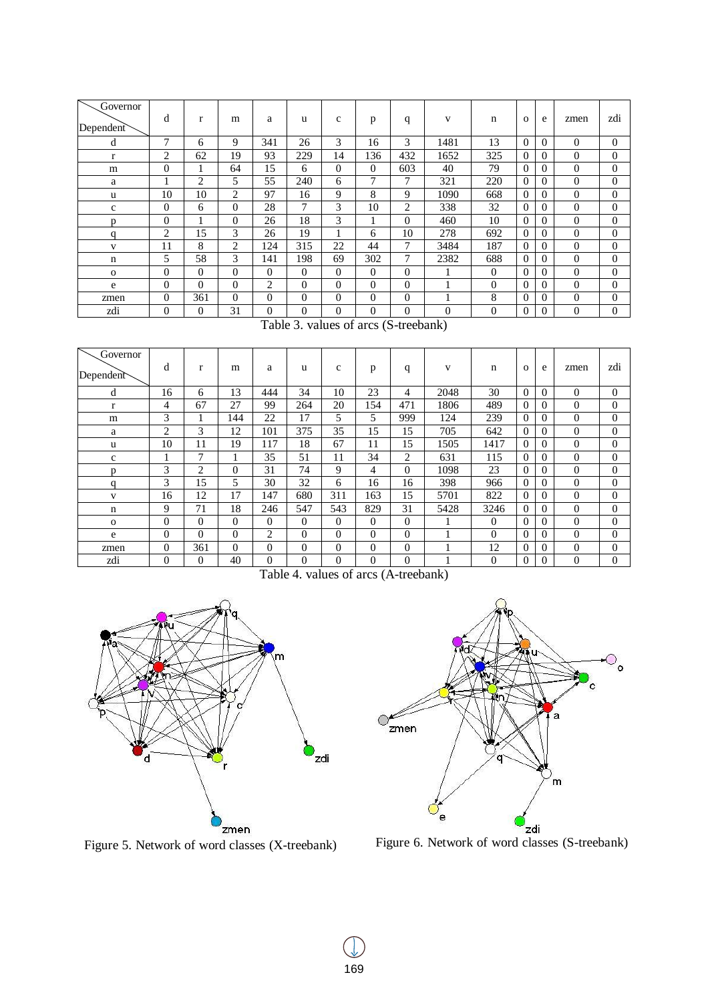| Governor<br>Dependent | d              | r              | m        | a              | u              | c        | p             | q              | V    | n        | $\Omega$       | e            | zmen           | zdi      |
|-----------------------|----------------|----------------|----------|----------------|----------------|----------|---------------|----------------|------|----------|----------------|--------------|----------------|----------|
| d                     | 7              | 6              | 9        | 341            | 26             | 3        | 16            | 3              | 1481 | 13       | $\overline{0}$ | $\Omega$     | $\theta$       | $\Omega$ |
| r                     | $\overline{c}$ | 62             | 19       | 93             | 229            | 14       | 136           | 432            | 1652 | 325      | $\overline{0}$ | $\Omega$     | $\Omega$       | $\Omega$ |
| m                     | $\overline{0}$ |                | 64       | 15             | 6              | $\Omega$ | $\theta$      | 603            | 40   | 79       | $\overline{0}$ | $\Omega$     | $\overline{0}$ | $\Omega$ |
| a                     |                | $\overline{c}$ | 5        | 55             | 240            | 6        | $\mathcal{I}$ | 7              | 321  | 220      | $\theta$       | $\Omega$     | $\theta$       | $\Omega$ |
| u                     | 10             | 10             | 2        | 97             | 16             | 9        | 8             | 9              | 1090 | 668      | $\Omega$       | $\Omega$     | $\theta$       | $\Omega$ |
| $\mathbf{c}$          | $\overline{0}$ | 6              | $\theta$ | 28             | 7              | 3        | 10            | 2              | 338  | 32       | $\Omega$       | $\Omega$     | $\Omega$       | $\Omega$ |
| <sub>n</sub>          | $\mathbf{0}$   |                | $\theta$ | 26             | 18             | 3        |               | $\mathbf{0}$   | 460  | 10       | $\overline{0}$ | $\mathbf{0}$ | $\overline{0}$ | $\theta$ |
| q                     | 2              | 15             | 3        | 26             | 19             |          | 6             | 10             | 278  | 692      | $\overline{0}$ | $\theta$     | $\overline{0}$ | $\Omega$ |
| V                     | 11             | 8              | 2        | 124            | 315            | 22       | 44            | 7              | 3484 | 187      | $\Omega$       | $\Omega$     | $\theta$       | $\Omega$ |
| n                     | 5              | 58             | 3        | 141            | 198            | 69       | 302           | 7              | 2382 | 688      | $\Omega$       | $\Omega$     | $\theta$       | $\Omega$ |
| $\mathbf{O}$          | $\overline{0}$ | $\mathbf{0}$   | $\theta$ | $\overline{0}$ | $\overline{0}$ | $\theta$ | $\theta$      | $\overline{0}$ |      | $\theta$ | $\Omega$       | $\Omega$     | $\Omega$       | $\Omega$ |
| e                     | $\overline{0}$ | $\Omega$       | $\theta$ | 2              | $\theta$       | $\theta$ | $\Omega$      | 0              |      | $\theta$ | $\Omega$       | $\Omega$     | $\Omega$       | $\Omega$ |
| zmen                  | $\overline{0}$ | 361            | $\theta$ | $\theta$       | $\Omega$       | $\Omega$ | $\theta$      | $\theta$       |      | 8        | $\Omega$       | $\Omega$     | $\theta$       | $\Omega$ |
| zdi                   | $\overline{0}$ | $\theta$       | 31       | $\theta$       | $\mathbf{0}$   | $\Omega$ | $\theta$      | $\overline{0}$ | 0    | $\theta$ | $\overline{0}$ | $\Omega$     | $\theta$       | $\Omega$ |

Table 3. values of arcs (S-treebank)

| Governor<br>Dependent | d              | r              | m        | a        | u        | $\mathbf{C}$ | p        | q              | V    | n              | $\Omega$ | e        | zmen           | zdi            |
|-----------------------|----------------|----------------|----------|----------|----------|--------------|----------|----------------|------|----------------|----------|----------|----------------|----------------|
| d                     | 16             | 6              | 13       | 444      | 34       | 10           | 23       | 4              | 2048 | 30             | $\Omega$ | $\Omega$ | $\mathbf{0}$   | $\Omega$       |
| r                     | 4              | 67             | 27       | 99       | 264      | 20           | 154      | 471            | 1806 | 489            | $\theta$ | $\Omega$ | $\Omega$       | $\overline{0}$ |
| m                     | 3              |                | 144      | 22       | 17       | 5            | 5        | 999            | 124  | 239            | $\Omega$ | $\Omega$ | $\Omega$       | $\Omega$       |
| a                     | $\overline{c}$ | 3              | 12       | 101      | 375      | 35           | 15       | 15             | 705  | 642            | $\Omega$ | $\theta$ | $\theta$       | $\Omega$       |
| u                     | 10             | 11             | 19       | 117      | 18       | 67           | 11       | 15             | 1505 | 1417           | $\Omega$ | $\Omega$ | $\Omega$       | $\Omega$       |
| $\mathbf c$           |                | $\overline{7}$ |          | 35       | 51       | 11           | 34       | $\overline{2}$ | 631  | 115            | $\Omega$ | $\Omega$ | $\mathbf{0}$   | $\Omega$       |
| n                     | 3              | 2              | $\Omega$ | 31       | 74       | 9            | 4        | $\Omega$       | 1098 | 23             | $\Omega$ | $\Omega$ | $\Omega$       | $\Omega$       |
| q                     | 3              | 15             | 5        | 30       | 32       | 6            | 16       | 16             | 398  | 966            | $\Omega$ | $\Omega$ | $\Omega$       | $\Omega$       |
| V                     | 16             | 12             | 17       | 147      | 680      | 311          | 163      | 15             | 5701 | 822            | $\Omega$ | $\Omega$ | $\theta$       | $\Omega$       |
| n                     | 9              | 71             | 18       | 246      | 547      | 543          | 829      | 31             | 5428 | 3246           | $\Omega$ | $\Omega$ | $\overline{0}$ | $\Omega$       |
| $\mathbf{O}$          | $\overline{0}$ | $\theta$       | $\Omega$ | $\theta$ | $\theta$ | $\Omega$     | $\Omega$ | $\theta$       |      | $\theta$       | $\Omega$ | $\Omega$ | $\theta$       | $\Omega$       |
| e                     | $\theta$       | $\Omega$       | $\theta$ | 2        | $\theta$ | $\Omega$     | $\theta$ | $\Omega$       |      | $\theta$       | $\Omega$ | $\theta$ | $\Omega$       | $\Omega$       |
| zmen                  | $\overline{0}$ | 361            | $\Omega$ | $\theta$ | $\Omega$ | $\Omega$     | $\theta$ | $\Omega$       |      | 12             | $\Omega$ | $\Omega$ | $\Omega$       | $\Omega$       |
| zdi                   | $\overline{0}$ | $\theta$       | 40       | $\theta$ | $\Omega$ | $\Omega$     | $\theta$ | $\Omega$       |      | $\overline{0}$ | $\Omega$ | $\theta$ | $\overline{0}$ | $\theta$       |

Table 4. values of arcs (A-treebank)



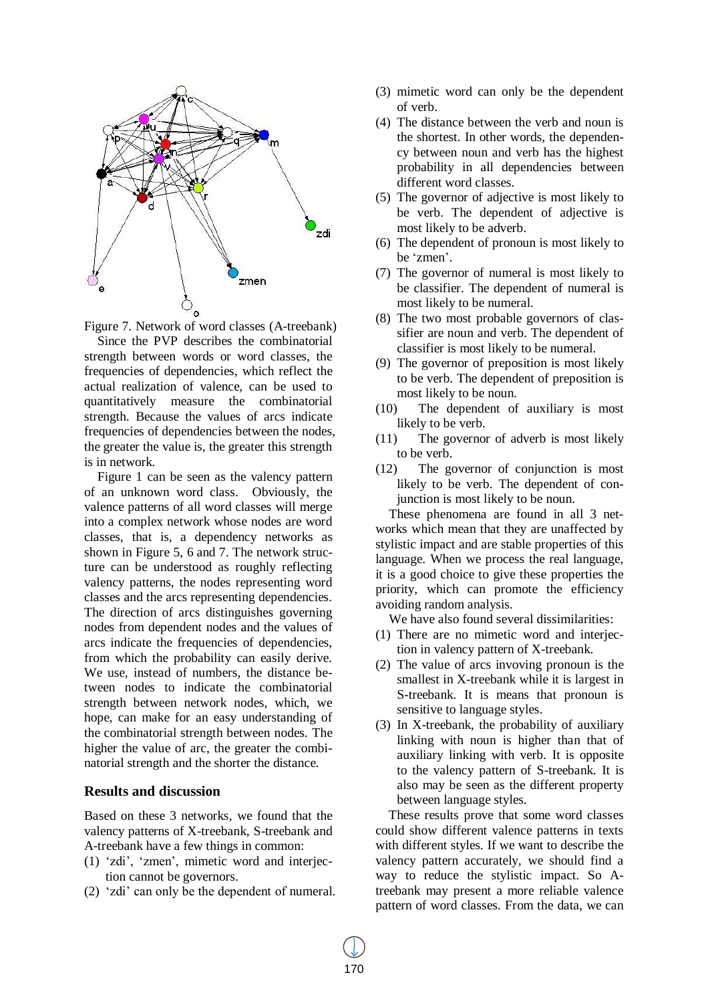

Figure 7. Network of word classes (A-treebank)

 Since the PVP describes the combinatorial strength between words or word classes, the frequencies of dependencies, which reflect the actual realization of valence, can be used to quantitatively measure the combinatorial strength. Because the values of arcs indicate frequencies of dependencies between the nodes, the greater the value is, the greater this strength is in network.

 Figure 1 can be seen as the valency pattern of an unknown word class. Obviously, the valence patterns of all word classes will merge into a complex network whose nodes are word classes, that is, a dependency networks as shown in Figure 5, 6 and 7. The network structure can be understood as roughly reflecting valency patterns, the nodes representing word classes and the arcs representing dependencies. The direction of arcs distinguishes governing nodes from dependent nodes and the values of arcs indicate the frequencies of dependencies, from which the probability can easily derive. We use, instead of numbers, the distance between nodes to indicate the combinatorial strength between network nodes, which, we hope, can make for an easy understanding of the combinatorial strength between nodes. The higher the value of arc, the greater the combinatorial strength and the shorter the distance.

### **Results and discussion**

Based on these 3 networks, we found that the valency patterns of X-treebank, S-treebank and A-treebank have a few things in common:

- (1) "zdi", "zmen", mimetic word and interjection cannot be governors.
- (2) "zdi" can only be the dependent of numeral.
- (3) mimetic word can only be the dependent of verb.
- (4) The distance between the verb and noun is the shortest. In other words, the dependency between noun and verb has the highest probability in all dependencies between different word classes.
- (5) The governor of adjective is most likely to be verb. The dependent of adjective is most likely to be adverb.
- (6) The dependent of pronoun is most likely to be "zmen".
- (7) The governor of numeral is most likely to be classifier. The dependent of numeral is most likely to be numeral.
- (8) The two most probable governors of classifier are noun and verb. The dependent of classifier is most likely to be numeral.
- (9) The governor of preposition is most likely to be verb. The dependent of preposition is most likely to be noun.
- (10) The dependent of auxiliary is most likely to be verb.
- (11) The governor of adverb is most likely to be verb.
- (12) The governor of conjunction is most likely to be verb. The dependent of conjunction is most likely to be noun.

These phenomena are found in all 3 networks which mean that they are unaffected by stylistic impact and are stable properties of this language. When we process the real language, it is a good choice to give these properties the priority, which can promote the efficiency avoiding random analysis.

We have also found several dissimilarities:

- (1) There are no mimetic word and interjection in valency pattern of X-treebank.
- (2) The value of arcs invoving pronoun is the smallest in X-treebank while it is largest in S-treebank. It is means that pronoun is sensitive to language styles.
- (3) In X-treebank, the probability of auxiliary linking with noun is higher than that of auxiliary linking with verb. It is opposite to the valency pattern of S-treebank. It is also may be seen as the different property between language styles.

 These results prove that some word classes could show different valence patterns in texts with different styles. If we want to describe the valency pattern accurately, we should find a way to reduce the stylistic impact. So Atreebank may present a more reliable valence pattern of word classes. From the data, we can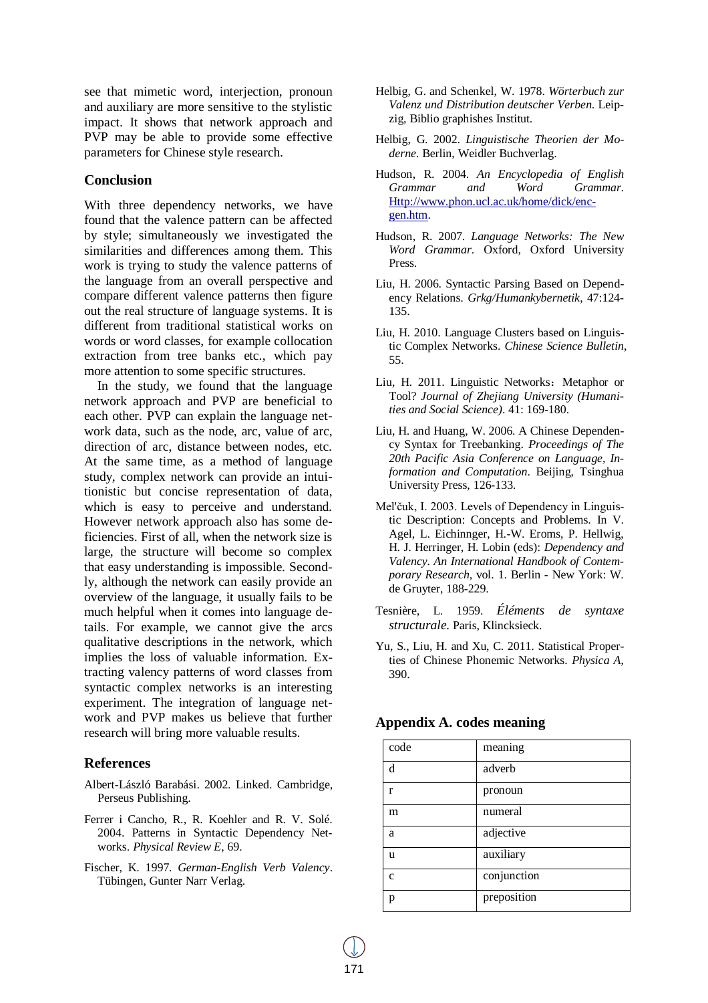see that mimetic word, interjection, pronoun and auxiliary are more sensitive to the stylistic impact. It shows that network approach and PVP may be able to provide some effective parameters for Chinese style research.

### **Conclusion**

With three dependency networks, we have found that the valence pattern can be affected by style; simultaneously we investigated the similarities and differences among them. This work is trying to study the valence patterns of the language from an overall perspective and compare different valence patterns then figure out the real structure of language systems. It is different from traditional statistical works on words or word classes, for example collocation extraction from tree banks etc., which pay more attention to some specific structures.

In the study, we found that the language network approach and PVP are beneficial to each other. PVP can explain the language network data, such as the node, arc, value of arc, direction of arc, distance between nodes, etc. At the same time, as a method of language study, complex network can provide an intuitionistic but concise representation of data, which is easy to perceive and understand. However network approach also has some deficiencies. First of all, when the network size is large, the structure will become so complex that easy understanding is impossible. Secondly, although the network can easily provide an overview of the language, it usually fails to be much helpful when it comes into language details. For example, we cannot give the arcs qualitative descriptions in the network, which implies the loss of valuable information. Extracting valency patterns of word classes from syntactic complex networks is an interesting experiment. The integration of language network and PVP makes us believe that further research will bring more valuable results.

### **References**

- Albert-LászlóBarabási. 2002. Linked. Cambridge, Perseus Publishing.
- Ferrer i Cancho, R., R. Koehler and R. V. Solé. 2004. Patterns in Syntactic Dependency Networks. *Physical Review E*, 69.
- Fischer, K. 1997. *German-English Verb Valency*. Tübingen, Gunter Narr Verlag.
- Helbig, G. and Schenkel, W. 1978. *Wörterbuch zur Valenz und Distribution deutscher Verben*. Leipzig, Biblio graphishes Institut.
- Helbig, G. 2002. *Linguistische Theorien der Moderne*. Berlin, Weidler Buchverlag.
- Hudson, R. 2004. *An Encyclopedia of English Grammar and Word Grammar*. Http://www.phon.ucl.ac.uk/home/dick/encgen.htm.
- Hudson, R. 2007. *Language Networks: The New Word Grammar*. Oxford, Oxford University Press.
- Liu, H. 2006. Syntactic Parsing Based on Dependency Relations. *Grkg/Humankybernetik*, 47:124- 135.
- Liu, H. 2010. Language Clusters based on Linguistic Complex Networks. *Chinese Science Bulletin*, 55.
- Liu, H. 2011. Linguistic Networks: Metaphor or Tool? *Journal of Zhejiang University (Humanities and Social Science)*. 41: 169-180.
- Liu, H. and Huang, W. 2006. A Chinese Dependency Syntax for Treebanking. *Proceedings of The 20th Pacific Asia Conference on Language, Information and Computation*. Beijing, Tsinghua University Press, 126-133.
- Mel'čuk, I. 2003. Levels of Dependency in Linguistic Description: Concepts and Problems. In V. Agel, L. Eichinnger, H.-W. Eroms, P. Hellwig, H. J. Herringer, H. Lobin (eds): *Dependency and Valency. An International Handbook of Contemporary Research*, vol. 1. Berlin - New York: W. de Gruyter, 188-229.
- Tesnière, L. 1959. *Éléments de syntaxe structurale.* Paris, Klincksieck.
- Yu, S., Liu, H. and Xu, C. 2011. Statistical Properties of Chinese Phonemic Networks. *Physica A*, 390.

| code         | meaning     |
|--------------|-------------|
| d            | adverb      |
| r            | pronoun     |
| m            | numeral     |
| a            | adjective   |
| u            | auxiliary   |
| $\mathbf{C}$ | conjunction |
| р            | preposition |

#### **Appendix A. codes meaning**